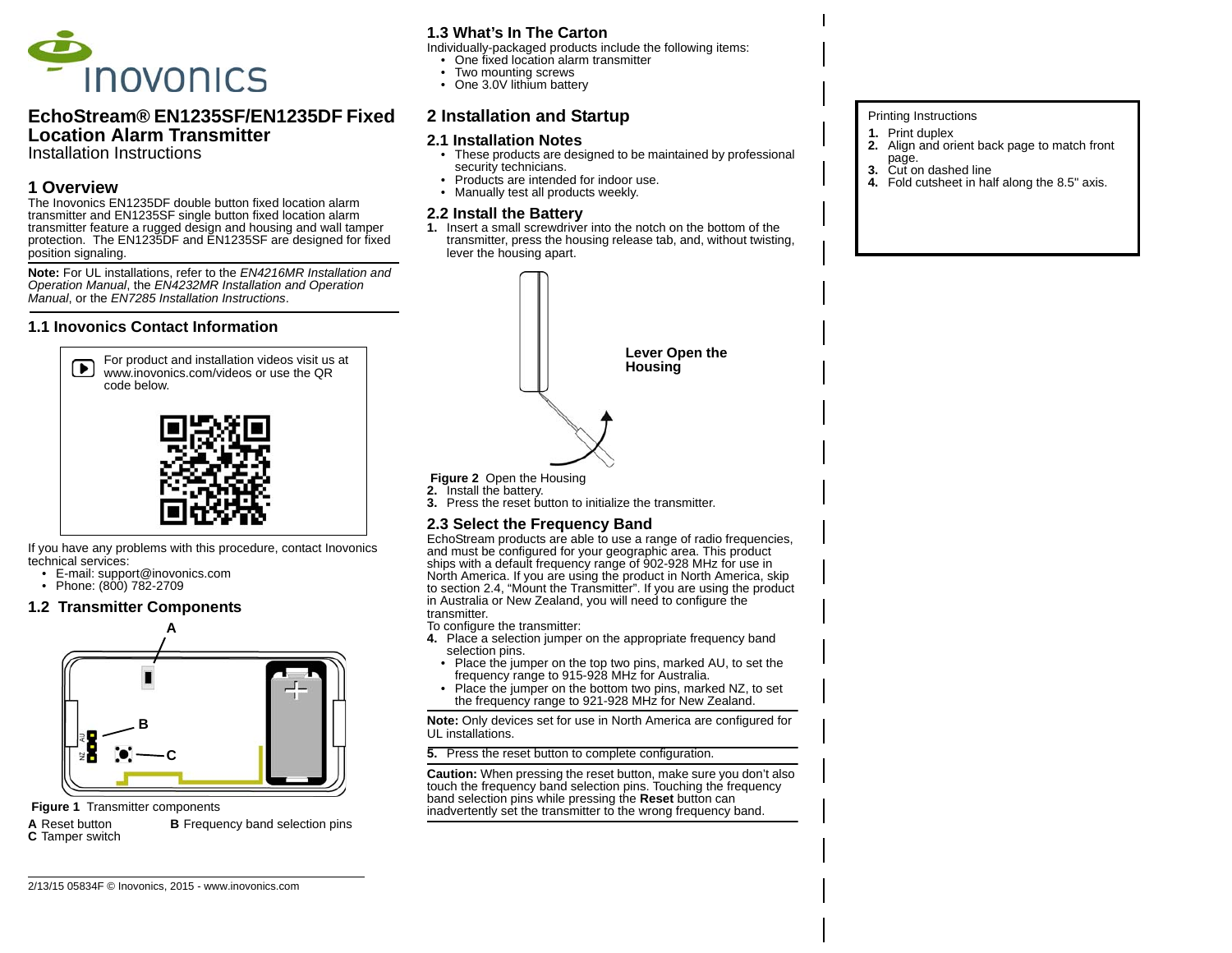

# **EchoStream® EN1235SF/EN1235DF Fixed Location Alarm Transmitter**

Installation Instructions

### **1 Overview**

 The Inovonics EN1235DF double button fixed location alarm transmitter and EN1235SF single button fixed location alarm transmitter feature a rugged design and housing and wall tamper protection. The EN1235DF and EN1235SF are designed for fixed position signaling.

**Note:** For UL installations, refer to the *EN4216MR Installation and Operation Manual*, the *EN4232MR Installation and Operation Manual*, or the *EN7285 Installation Instructions*.

### **1.1 Inovonics Contact Information**



If you have any problems with this procedure, contact Inovonics technical services:

- E-mail: support@inovonics.com
- Phone: (800) 782-2709

#### **1.2 Transmitter Components**



#### **Figure 1 Transmitter components**

**AB** Frequency band selection pins **C** Tamper switch

# **1.3 What's In The Carton**

- Individually-packaged products include the following items:
- One fixed location alarm transmitter
- Two mounting screws
- One 3.0V lithium battery

# **2 Installation and Startup**

#### **2.1 Installation Notes**

- These products are designed to be maintained by professional security technicians.
- Products are intended for indoor use.
- Manually test all products weekly.

### **2.2 Install the Battery**

**1.** Insert a small screwdriver into the notch on the bottom of the transmitter, press the housing release tab, and, without twisting, lever the housing apart.



 **Figure 2** Open the Housing

**2.** Install the battery. **3.** Press the reset button to initialize the transmitter.

# **2.3 Select the Frequency Band**

EchoStream products are able to use a range of radio frequencies, and must be configured for your geographic area. This product ships with a default frequency range of 902-928 MHz for use in North America. If you are using the product in North America, skip to section 2.4, "Mount the Transmitter". If you are using the product in Australia or New Zealand, you will need to configure the transmitter.

To configure the transmitter:

- **4.** Place a selection jumper on the appropriate frequency band selection pins.
	- Place the jumper on the top two pins, marked AU, to set the frequency range to 915-928 MHz for Australia.
- • Place the jumper on the bottom two pins, marked NZ, to set the frequency range to 921-928 MHz for New Zealand.

**Note:** Only devices set for use in North America are configured for UL installations.

**5.** Press the reset button to complete configuration.

**Caution:** When pressing the reset button, make sure you don't also touch the frequency band selection pins. Touching the frequency band selection pins while pressing the **Reset** button can inadvertently set the transmitter to the wrong frequency band.

#### Printing Instructions

- **1.** Print duplex
- **2.** Align and orient back page to match front page.
- **3.**Cut on dashed line
- **4.** Fold cutsheet in half along the 8.5" axis.